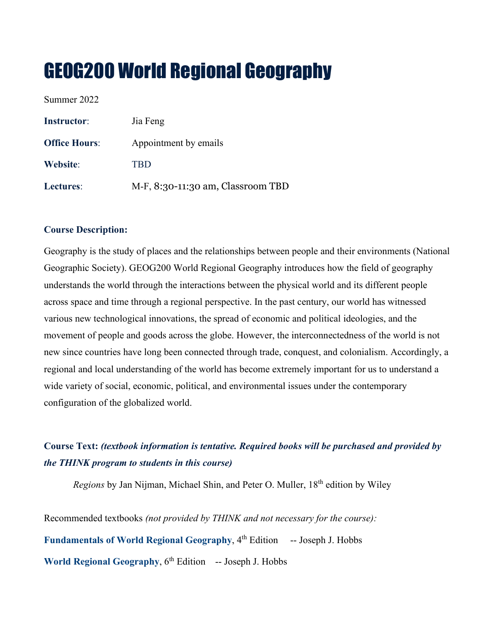# GEOG200 World Regional Geography

Summer 2022

| <b>Instructor:</b>   | Jia Feng                          |
|----------------------|-----------------------------------|
| <b>Office Hours:</b> | Appointment by emails             |
| Website:             | <b>TBD</b>                        |
| Lectures:            | M-F, 8:30-11:30 am, Classroom TBD |

# **Course Description:**

Geography is the study of places and the relationships between people and their environments (National Geographic Society). GEOG200 World Regional Geography introduces how the field of geography understands the world through the interactions between the physical world and its different people across space and time through a regional perspective. In the past century, our world has witnessed various new technological innovations, the spread of economic and political ideologies, and the movement of people and goods across the globe. However, the interconnectedness of the world is not new since countries have long been connected through trade, conquest, and colonialism. Accordingly, a regional and local understanding of the world has become extremely important for us to understand a wide variety of social, economic, political, and environmental issues under the contemporary configuration of the globalized world.

# **Course Text:** *(textbook information is tentative. Required books will be purchased and provided by the THINK program to students in this course)*

*Regions* by Jan Nijman, Michael Shin, and Peter O. Muller, 18th edition by Wiley

Recommended textbooks *(not provided by THINK and not necessary for the course):* **Fundamentals of World Regional Geography**, 4th Edition -- Joseph J. Hobbs **World Regional Geography**,  $6<sup>th</sup>$  Edition -- Joseph J. Hobbs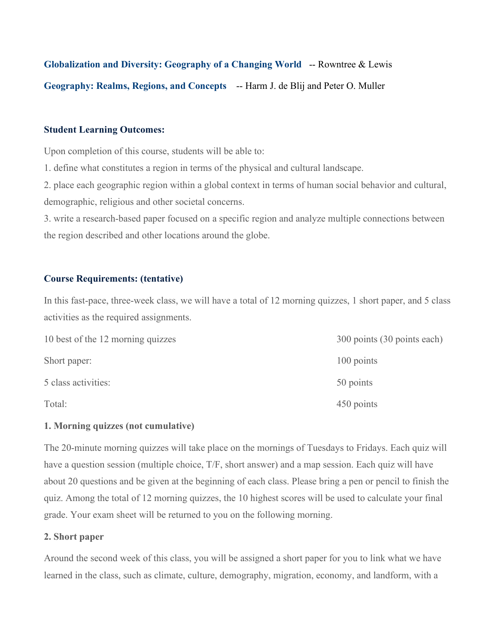**Globalization and Diversity: Geography of a Changing World** -- Rowntree & Lewis **Geography: Realms, Regions, and Concepts** -- Harm J. de Blij and Peter O. Muller

# **Student Learning Outcomes:**

Upon completion of this course, students will be able to:

1. define what constitutes a region in terms of the physical and cultural landscape.

2. place each geographic region within a global context in terms of human social behavior and cultural, demographic, religious and other societal concerns.

3. write a research-based paper focused on a specific region and analyze multiple connections between the region described and other locations around the globe.

## **Course Requirements: (tentative)**

In this fast-pace, three-week class, we will have a total of 12 morning quizzes, 1 short paper, and 5 class activities as the required assignments.

| 10 best of the 12 morning quizzes | 300 points (30 points each) |  |
|-----------------------------------|-----------------------------|--|
| Short paper:                      | 100 points                  |  |
| 5 class activities:               | 50 points                   |  |
| Total:                            | 450 points                  |  |

#### **1. Morning quizzes (not cumulative)**

The 20-minute morning quizzes will take place on the mornings of Tuesdays to Fridays. Each quiz will have a question session (multiple choice, T/F, short answer) and a map session. Each quiz will have about 20 questions and be given at the beginning of each class. Please bring a pen or pencil to finish the quiz. Among the total of 12 morning quizzes, the 10 highest scores will be used to calculate your final grade. Your exam sheet will be returned to you on the following morning.

## **2. Short paper**

Around the second week of this class, you will be assigned a short paper for you to link what we have learned in the class, such as climate, culture, demography, migration, economy, and landform, with a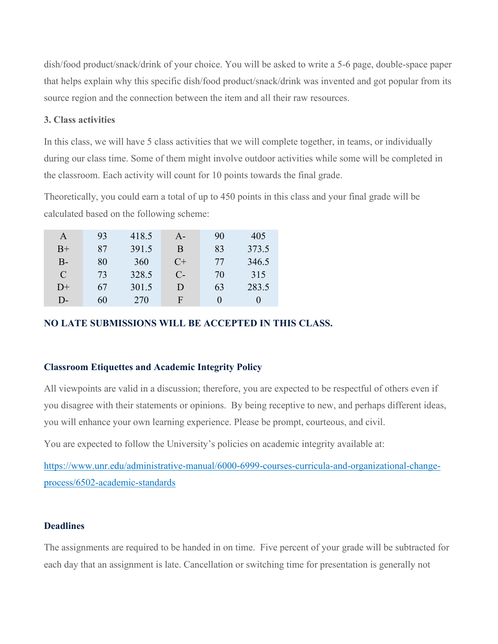dish/food product/snack/drink of your choice. You will be asked to write a 5-6 page, double-space paper that helps explain why this specific dish/food product/snack/drink was invented and got popular from its source region and the connection between the item and all their raw resources.

### **3. Class activities**

In this class, we will have 5 class activities that we will complete together, in teams, or individually during our class time. Some of them might involve outdoor activities while some will be completed in the classroom. Each activity will count for 10 points towards the final grade.

Theoretically, you could earn a total of up to 450 points in this class and your final grade will be calculated based on the following scheme:

| A     | 93 | 418.5 | $A-$  | 90           | 405   |
|-------|----|-------|-------|--------------|-------|
| $B+$  | 87 | 391.5 | Β     | 83           | 373.5 |
| $B -$ | 80 | 360   | $C+$  | 77           | 346.5 |
| C     | 73 | 328.5 | $C$ - | 70           | 315   |
| $D+$  | 67 | 301.5 | D     | 63           | 283.5 |
| D-    | 60 | 270   | F     | $\mathbf{0}$ | 0     |

# **NO LATE SUBMISSIONS WILL BE ACCEPTED IN THIS CLASS.**

#### **Classroom Etiquettes and Academic Integrity Policy**

All viewpoints are valid in a discussion; therefore, you are expected to be respectful of others even if you disagree with their statements or opinions. By being receptive to new, and perhaps different ideas, you will enhance your own learning experience. Please be prompt, courteous, and civil.

You are expected to follow the University's policies on academic integrity available at:

[https://www.unr.edu/administrative-manual/6000-6999-courses-curricula-and-organizational-change](https://www.unr.edu/administrative-manual/6000-6999-courses-curricula-and-organizational-change-process/6502-academic-standards)[process/6502-academic-standards](https://www.unr.edu/administrative-manual/6000-6999-courses-curricula-and-organizational-change-process/6502-academic-standards)

#### **Deadlines**

The assignments are required to be handed in on time. Five percent of your grade will be subtracted for each day that an assignment is late. Cancellation or switching time for presentation is generally not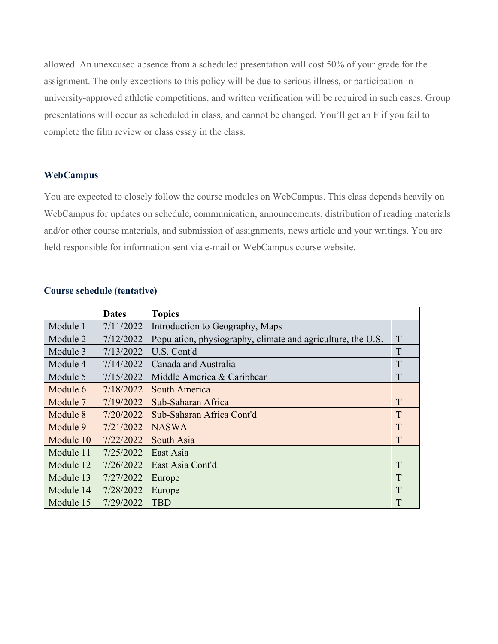allowed. An unexcused absence from a scheduled presentation will cost 50% of your grade for the assignment. The only exceptions to this policy will be due to serious illness, or participation in university-approved athletic competitions, and written verification will be required in such cases. Group presentations will occur as scheduled in class, and cannot be changed. You'll get an F if you fail to complete the film review or class essay in the class.

#### **WebCampus**

You are expected to closely follow the course modules on WebCampus. This class depends heavily on WebCampus for updates on schedule, communication, announcements, distribution of reading materials and/or other course materials, and submission of assignments, news article and your writings. You are held responsible for information sent via e-mail or WebCampus course website.

|           | <b>Dates</b> | <b>Topics</b>                                               |   |
|-----------|--------------|-------------------------------------------------------------|---|
| Module 1  | 7/11/2022    | Introduction to Geography, Maps                             |   |
| Module 2  | 7/12/2022    | Population, physiography, climate and agriculture, the U.S. | T |
| Module 3  | 7/13/2022    | U.S. Cont'd                                                 | T |
| Module 4  | 7/14/2022    | Canada and Australia                                        | T |
| Module 5  | 7/15/2022    | Middle America & Caribbean                                  | T |
| Module 6  | 7/18/2022    | South America                                               |   |
| Module 7  | 7/19/2022    | Sub-Saharan Africa                                          | T |
| Module 8  | 7/20/2022    | Sub-Saharan Africa Cont'd                                   | T |
| Module 9  | 7/21/2022    | <b>NASWA</b>                                                | T |
| Module 10 | 7/22/2022    | South Asia                                                  | T |
| Module 11 | 7/25/2022    | East Asia                                                   |   |
| Module 12 | 7/26/2022    | East Asia Cont'd                                            | T |
| Module 13 | 7/27/2022    | Europe                                                      | T |
| Module 14 | 7/28/2022    | Europe                                                      | T |
| Module 15 | 7/29/2022    | <b>TBD</b>                                                  | T |

# **Course schedule (tentative)**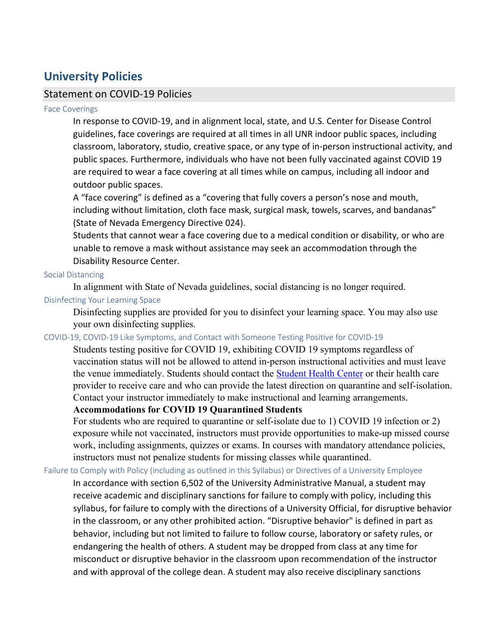# **University Policies**

# Statement on COVID-19 Policies

#### Face Coverings

In response to COVID-19, and in alignment local, state, and U.S. Center for Disease Control guidelines, face coverings are required at all times in all UNR indoor public spaces, including classroom, laboratory, studio, creative space, or any type of in-person instructional activity, and public spaces. Furthermore, individuals who have not been fully vaccinated against COVID 19 are required to wear a face covering at all times while on campus, including all indoor and outdoor public spaces.

A "face covering" is defined as a "covering that fully covers a person's nose and mouth, including without limitation, cloth face mask, surgical mask, towels, scarves, and bandanas" (State of Nevada Emergency Directive 024).

Students that cannot wear a face covering due to a medical condition or disability, or who are unable to remove a mask without assistance may seek an accommodation through the Disability Resource Center.

#### Social Distancing

In alignment with State of Nevada guidelines, social distancing is no longer required.

# Disinfecting Your Learning Space

Disinfecting supplies are provided for you to disinfect your learning space. You may also use your own disinfecting supplies.

#### COVID-19, COVID-19 Like Symptoms, and Contact with Someone Testing Positive for COVID-19

Students testing positive for COVID 19, exhibiting COVID 19 symptoms regardless of vaccination status will not be allowed to attend in-person instructional activities and must leave the venue immediately. Students should contact the [Student Health Center](https://med.unr.edu/student-health-center) or their health care provider to receive care and who can provide the latest direction on quarantine and self-isolation. Contact your instructor immediately to make instructional and learning arrangements.

# **Accommodations for COVID 19 Quarantined Students**

For students who are required to quarantine or self-isolate due to 1) COVID 19 infection or 2) exposure while not vaccinated, instructors must provide opportunities to make-up missed course work, including assignments, quizzes or exams. In courses with mandatory attendance policies, instructors must not penalize students for missing classes while quarantined.

#### Failure to Comply with Policy (including as outlined in this Syllabus) or Directives of a University Employee

In accordance with section 6,502 of the University Administrative Manual, a student may receive academic and disciplinary sanctions for failure to comply with policy, including this syllabus, for failure to comply with the directions of a University Official, for disruptive behavior in the classroom, or any other prohibited action. "Disruptive behavior" is defined in part as behavior, including but not limited to failure to follow course, laboratory or safety rules, or endangering the health of others. A student may be dropped from class at any time for misconduct or disruptive behavior in the classroom upon recommendation of the instructor and with approval of the college dean. A student may also receive disciplinary sanctions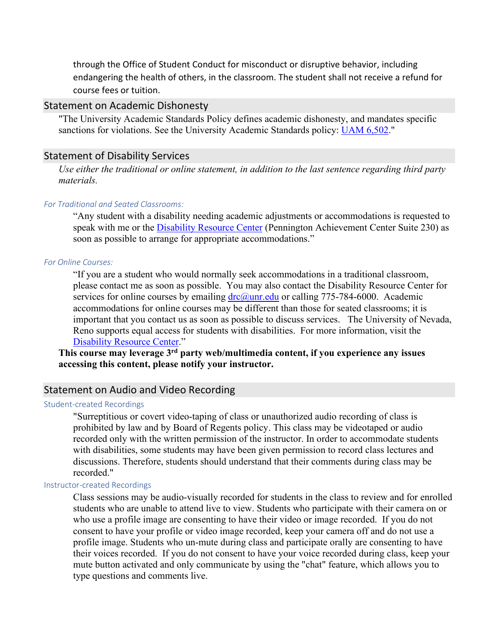through the Office of Student Conduct for misconduct or disruptive behavior, including endangering the health of others, in the classroom. The student shall not receive a refund for course fees or tuition.

# Statement on Academic Dishonesty

"The University Academic Standards Policy defines academic dishonesty, and mandates specific sanctions for violations. See the University Academic Standards policy: [UAM 6,502."](https://www.unr.edu/administrative-manual/6000-6999-curricula-teaching-research/instruction-research-procedures/6502-academic-standards)

#### Statement of Disability Services

*Use either the traditional or online statement, in addition to the last sentence regarding third party materials.*

#### *For Traditional and Seated Classrooms:*

"Any student with a disability needing academic adjustments or accommodations is requested to speak with me or the **Disability Resource Center** (Pennington Achievement Center Suite 230) as soon as possible to arrange for appropriate accommodations."

#### *For Online Courses:*

"If you are a student who would normally seek accommodations in a traditional classroom, please contact me as soon as possible. You may also contact the Disability Resource Center for services for online courses by emailing  $\text{drc}(\partial_\mu u \cdot \text{red}u)$  or calling 775-784-6000. Academic accommodations for online courses may be different than those for seated classrooms; it is important that you contact us as soon as possible to discuss services. The University of Nevada, Reno supports equal access for students with disabilities. For more information, visit the [Disability Resource Center.](http://www.unr.edu/drc)"

**This course may leverage 3rd party web/multimedia content, if you experience any issues accessing this content, please notify your instructor.**

# Statement on Audio and Video Recording

#### Student-created Recordings

"Surreptitious or covert video-taping of class or unauthorized audio recording of class is prohibited by law and by Board of Regents policy. This class may be videotaped or audio recorded only with the written permission of the instructor. In order to accommodate students with disabilities, some students may have been given permission to record class lectures and discussions. Therefore, students should understand that their comments during class may be recorded."

#### Instructor-created Recordings

Class sessions may be audio-visually recorded for students in the class to review and for enrolled students who are unable to attend live to view. Students who participate with their camera on or who use a profile image are consenting to have their video or image recorded. If you do not consent to have your profile or video image recorded, keep your camera off and do not use a profile image. Students who un-mute during class and participate orally are consenting to have their voices recorded. If you do not consent to have your voice recorded during class, keep your mute button activated and only communicate by using the "chat" feature, which allows you to type questions and comments live.